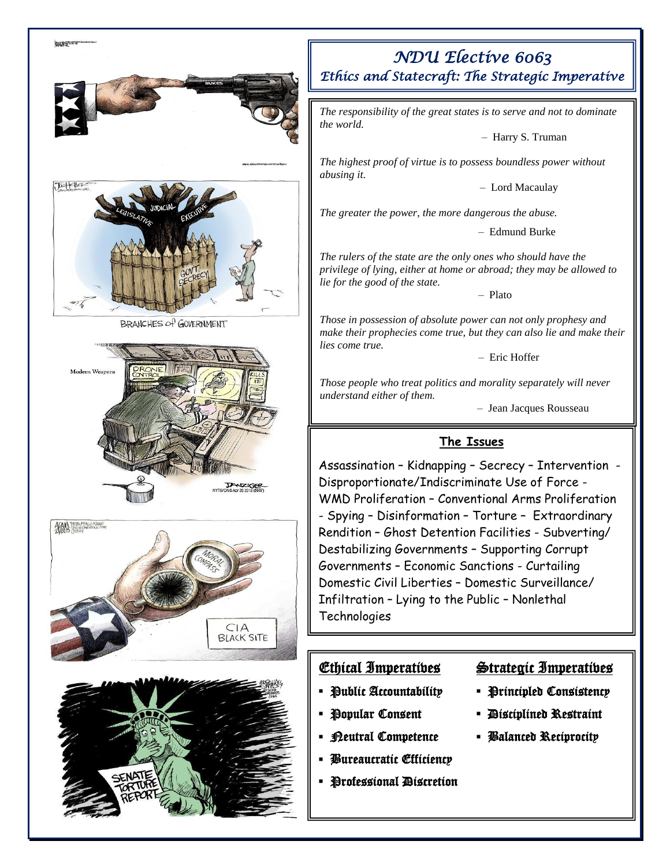

## *NDU Elective 6063 Ethics and Statecraft: The Strategic Imperative*

*The responsibility of the great states is to serve and not to dominate* 

– Harry S. Truman

*The highest proof of virtue is to possess boundless power without* 

– Lord Macaulay

*The greater the power, the more dangerous the abuse.*

– Edmund Burke

*The rulers of the state are the only ones who should have the privilege of lying, either at home or abroad; they may be allowed to* 

– Plato

*Those in possession of absolute power can not only prophesy and make their prophecies come true, but they can also lie and make their* 

– Eric Hoffer

*Those people who treat politics and morality separately will never* 

– Jean Jacques Rousseau

## **The Issues**

Assassination – Kidnapping – Secrecy – Intervention - Disproportionate/Indiscriminate Use of Force - WMD Proliferation – Conventional Arms Proliferation - Spying – Disinformation – Torture – Extraordinary Rendition – Ghost Detention Facilities - Subverting/ Destabilizing Governments – Supporting Corrupt Governments – Economic Sanctions - Curtailing Domestic Civil Liberties – Domestic Surveillance/ Infiltration – Lying to the Public – Nonlethal

- 
- 
- 
-